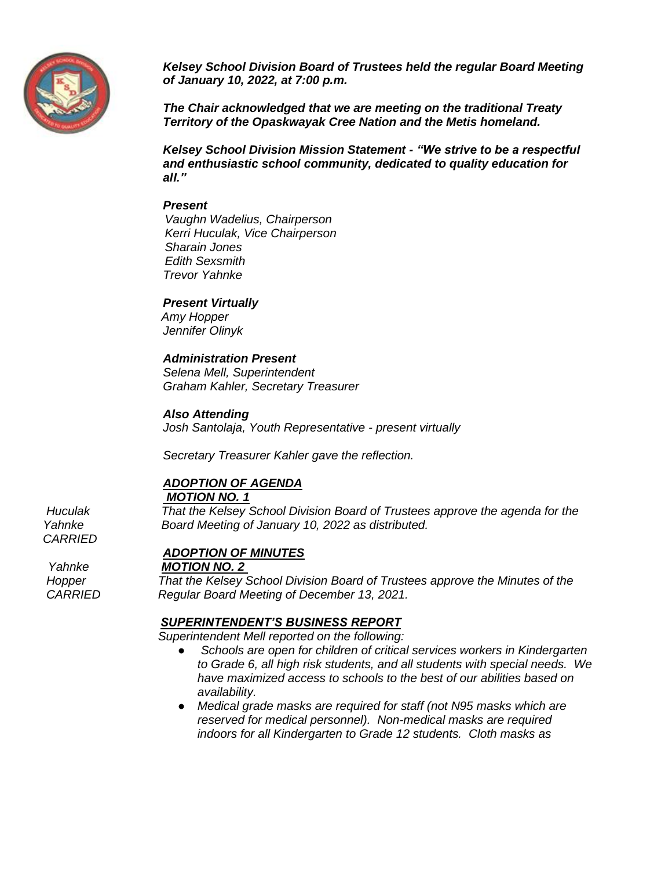

*Kelsey School Division Board of Trustees held the regular Board Meeting of January 10, 2022, at 7:00 p.m.*

*The Chair acknowledged that we are meeting on the traditional Treaty Territory of the Opaskwayak Cree Nation and the Metis homeland.*

*Kelsey School Division Mission Statement - "We strive to be a respectful and enthusiastic school community, dedicated to quality education for all."*

#### *Present*

 *Vaughn Wadelius, Chairperson Kerri Huculak, Vice Chairperson Sharain Jones Edith Sexsmith Trevor Yahnke*

### *Present Virtually*

*Amy Hopper Jennifer Olinyk*

### *Administration Present*

*Selena Mell, Superintendent Graham Kahler, Secretary Treasurer*

#### *Also Attending*

*Josh Santolaja, Youth Representative - present virtually*

*Secretary Treasurer Kahler gave the reflection.*

# *ADOPTION OF AGENDA*

*MOTION NO. 1*

 *Huculak That the Kelsey School Division Board of Trustees approve the agenda for the Yahnke Board Meeting of January 10, 2022 as distributed.*

*CARRIED*

### *ADOPTION OF MINUTES*

#### *Yahnke MOTION NO. 2*

 *Hopper That the Kelsey School Division Board of Trustees approve the Minutes of the CARRIED Regular Board Meeting of December 13, 2021.* 

### *SUPERINTENDENT'S BUSINESS REPORT*

*Superintendent Mell reported on the following:*

- Schools are open for children of critical services workers in Kindergarten *to Grade 6, all high risk students, and all students with special needs. We have maximized access to schools to the best of our abilities based on availability.*
- *Medical grade masks are required for staff (not N95 masks which are reserved for medical personnel). Non-medical masks are required indoors for all Kindergarten to Grade 12 students. Cloth masks as*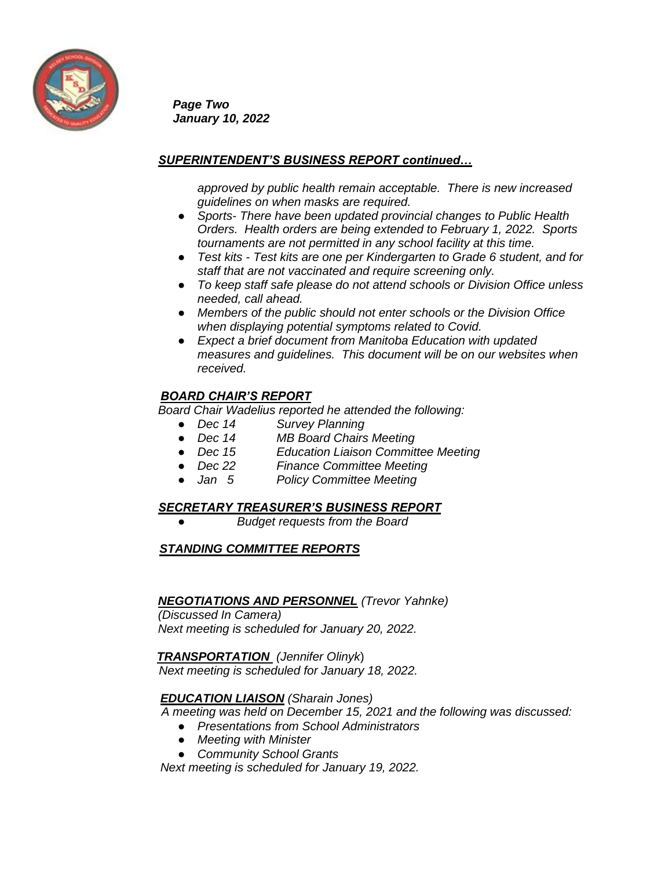

*Page Two January 10, 2022*

## *SUPERINTENDENT'S BUSINESS REPORT continued…*

*approved by public health remain acceptable. There is new increased guidelines on when masks are required.* 

- *Sports- There have been updated provincial changes to Public Health Orders. Health orders are being extended to February 1, 2022. Sports tournaments are not permitted in any school facility at this time.*
- *Test kits - Test kits are one per Kindergarten to Grade 6 student, and for staff that are not vaccinated and require screening only.*
- *To keep staff safe please do not attend schools or Division Office unless needed, call ahead.*
- *Members of the public should not enter schools or the Division Office when displaying potential symptoms related to Covid.*
- *Expect a brief document from Manitoba Education with updated measures and guidelines. This document will be on our websites when received.*

## *BOARD CHAIR'S REPORT*

*Board Chair Wadelius reported he attended the following:*

- *Dec 14 Survey Planning*
- *Dec 14 MB Board Chairs Meeting*
- *Dec 15 Education Liaison Committee Meeting*
- *Dec 22 Finance Committee Meeting*
- *Jan 5 Policy Committee Meeting*

### *SECRETARY TREASURER'S BUSINESS REPORT*

**Budget requests from the Board** 

## *STANDING COMMITTEE REPORTS*

### *NEGOTIATIONS AND PERSONNEL (Trevor Yahnke)*

*(Discussed In Camera) Next meeting is scheduled for January 20, 2022.* 

 *TRANSPORTATION (Jennifer Olinyk*)  *Next meeting is scheduled for January 18, 2022.*

### *EDUCATION LIAISON (Sharain Jones)*

 *A meeting was held on December 15, 2021 and the following was discussed:* 

- *Presentations from School Administrators*
- *Meeting with Minister*
- *Community School Grants*

 *Next meeting is scheduled for January 19, 2022.*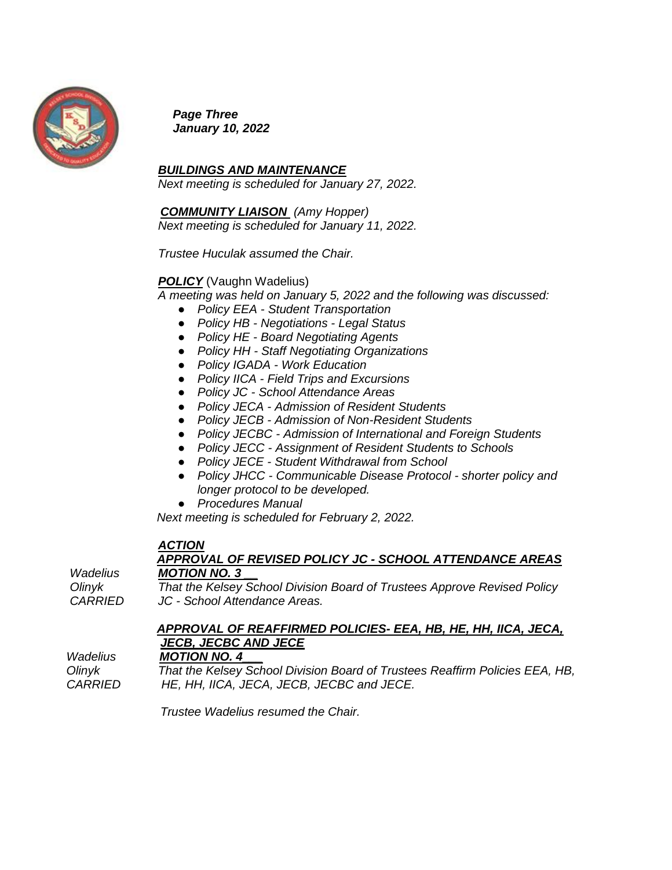

*Page Three January 10, 2022* 

*BUILDINGS AND MAINTENANCE*

*Next meeting is scheduled for January 27, 2022.*

# *COMMUNITY LIAISON (Amy Hopper)*

*Next meeting is scheduled for January 11, 2022.*

*Trustee Huculak assumed the Chair.*

## *POLICY* (Vaughn Wadelius)

*A meeting was held on January 5, 2022 and the following was discussed:* 

- *Policy EEA - Student Transportation*
- *Policy HB - Negotiations - Legal Status*
- *Policy HE - Board Negotiating Agents*
- *Policy HH - Staff Negotiating Organizations*
- *Policy IGADA - Work Education*
- *Policy IICA - Field Trips and Excursions*
- *Policy JC - School Attendance Areas*
- *Policy JECA - Admission of Resident Students*
- *Policy JECB - Admission of Non-Resident Students*
- *Policy JECBC - Admission of International and Foreign Students*
- *Policy JECC - Assignment of Resident Students to Schools*
- *Policy JECE - Student Withdrawal from School*
- *Policy JHCC - Communicable Disease Protocol - shorter policy and longer protocol to be developed.*
- *Procedures Manual*

 *Next meeting is scheduled for February 2, 2022.* 

# *ACTION*

### *APPROVAL OF REVISED POLICY JC - SCHOOL ATTENDANCE AREAS Wadelius MOTION NO. 3 \_\_*

 *Olinyk That the Kelsey School Division Board of Trustees Approve Revised Policy CARRIED JC - School Attendance Areas.*

# *APPROVAL OF REAFFIRMED POLICIES- EEA, HB, HE, HH, IICA, JECA, JECB, JECBC AND JECE*

 *Wadelius MOTION NO. 4\_\_\_*

 *Olinyk That the Kelsey School Division Board of Trustees Reaffirm Policies EEA, HB, CARRIED HE, HH, IICA, JECA, JECB, JECBC and JECE.* 

 *Trustee Wadelius resumed the Chair.*